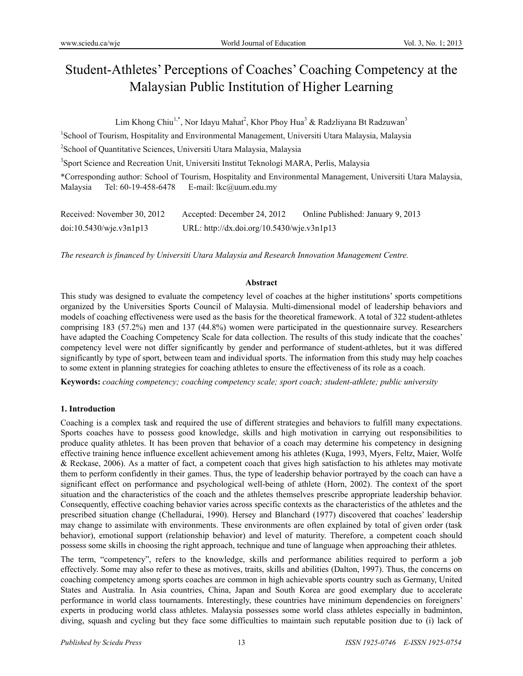# Student-Athletes' Perceptions of Coaches' Coaching Competency at the Malaysian Public Institution of Higher Learning

Lim Khong Chiu<sup>1,\*</sup>, Nor Idayu Mahat<sup>2</sup>, Khor Phoy Hua<sup>3</sup> & Radzliyana Bt Radzuwan<sup>3</sup>

<sup>1</sup>School of Tourism, Hospitality and Environmental Management, Universiti Utara Malaysia, Malaysia

2 School of Quantitative Sciences, Universiti Utara Malaysia, Malaysia

<sup>3</sup>Sport Science and Recreation Unit, Universiti Institut Teknologi MARA, Perlis, Malaysia

\*Corresponding author: School of Tourism, Hospitality and Environmental Management, Universiti Utara Malaysia, Malaysia Tel: 60-19-458-6478 E-mail: lkc@uum.edu.my

| Received: November 30, 2012 | Accepted: December 24, 2012                | Online Published: January 9, 2013 |
|-----------------------------|--------------------------------------------|-----------------------------------|
| doi:10.5430/wje.v3n1p13     | URL: http://dx.doi.org/10.5430/wje.v3n1p13 |                                   |

*The research is financed by Universiti Utara Malaysia and Research Innovation Management Centre.* 

## **Abstract**

This study was designed to evaluate the competency level of coaches at the higher institutions' sports competitions organized by the Universities Sports Council of Malaysia. Multi-dimensional model of leadership behaviors and models of coaching effectiveness were used as the basis for the theoretical framework. A total of 322 student-athletes comprising 183 (57.2%) men and 137 (44.8%) women were participated in the questionnaire survey. Researchers have adapted the Coaching Competency Scale for data collection. The results of this study indicate that the coaches' competency level were not differ significantly by gender and performance of student-athletes, but it was differed significantly by type of sport, between team and individual sports. The information from this study may help coaches to some extent in planning strategies for coaching athletes to ensure the effectiveness of its role as a coach.

**Keywords:** *coaching competency; coaching competency scale; sport coach; student-athlete; public university* 

## **1. Introduction**

Coaching is a complex task and required the use of different strategies and behaviors to fulfill many expectations. Sports coaches have to possess good knowledge, skills and high motivation in carrying out responsibilities to produce quality athletes. It has been proven that behavior of a coach may determine his competency in designing effective training hence influence excellent achievement among his athletes (Kuga, 1993, Myers, Feltz, Maier, Wolfe & Reckase, 2006). As a matter of fact, a competent coach that gives high satisfaction to his athletes may motivate them to perform confidently in their games. Thus, the type of leadership behavior portrayed by the coach can have a significant effect on performance and psychological well-being of athlete (Horn, 2002). The context of the sport situation and the characteristics of the coach and the athletes themselves prescribe appropriate leadership behavior. Consequently, effective coaching behavior varies across specific contexts as the characteristics of the athletes and the prescribed situation change (Chelladurai, 1990). Hersey and Blanchard (1977) discovered that coaches' leadership may change to assimilate with environments. These environments are often explained by total of given order (task behavior), emotional support (relationship behavior) and level of maturity. Therefore, a competent coach should possess some skills in choosing the right approach, technique and tune of language when approaching their athletes.

The term, "competency", refers to the knowledge, skills and performance abilities required to perform a job effectively. Some may also refer to these as motives, traits, skills and abilities (Dalton, 1997). Thus, the concerns on coaching competency among sports coaches are common in high achievable sports country such as Germany, United States and Australia. In Asia countries, China, Japan and South Korea are good exemplary due to accelerate performance in world class tournaments. Interestingly, these countries have minimum dependencies on foreigners' experts in producing world class athletes. Malaysia possesses some world class athletes especially in badminton, diving, squash and cycling but they face some difficulties to maintain such reputable position due to (i) lack of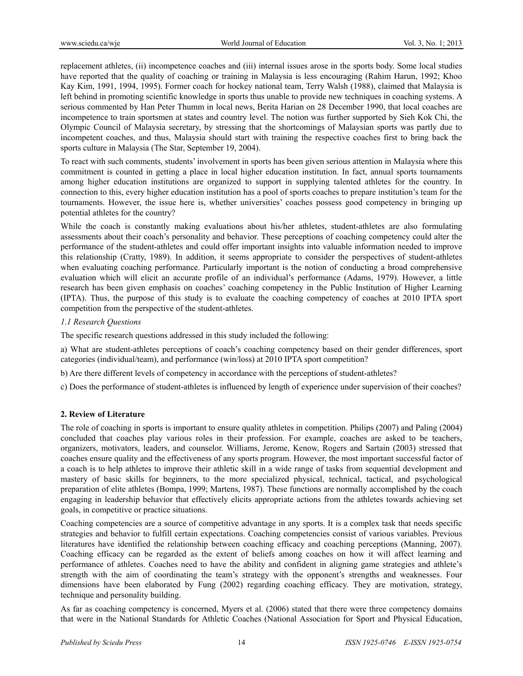replacement athletes, (ii) incompetence coaches and (iii) internal issues arose in the sports body. Some local studies have reported that the quality of coaching or training in Malaysia is less encouraging (Rahim Harun, 1992; Khoo Kay Kim, 1991, 1994, 1995). Former coach for hockey national team, Terry Walsh (1988), claimed that Malaysia is left behind in promoting scientific knowledge in sports thus unable to provide new techniques in coaching systems. A serious commented by Han Peter Thumm in local news, Berita Harian on 28 December 1990, that local coaches are incompetence to train sportsmen at states and country level. The notion was further supported by Sieh Kok Chi, the Olympic Council of Malaysia secretary, by stressing that the shortcomings of Malaysian sports was partly due to incompetent coaches, and thus, Malaysia should start with training the respective coaches first to bring back the sports culture in Malaysia (The Star, September 19, 2004).

To react with such comments, students' involvement in sports has been given serious attention in Malaysia where this commitment is counted in getting a place in local higher education institution. In fact, annual sports tournaments among higher education institutions are organized to support in supplying talented athletes for the country. In connection to this, every higher education institution has a pool of sports coaches to prepare institution's team for the tournaments. However, the issue here is, whether universities' coaches possess good competency in bringing up potential athletes for the country?

While the coach is constantly making evaluations about his/her athletes, student-athletes are also formulating assessments about their coach's personality and behavior. These perceptions of coaching competency could alter the performance of the student-athletes and could offer important insights into valuable information needed to improve this relationship (Cratty, 1989). In addition, it seems appropriate to consider the perspectives of student-athletes when evaluating coaching performance. Particularly important is the notion of conducting a broad comprehensive evaluation which will elicit an accurate profile of an individual's performance (Adams, 1979). However, a little research has been given emphasis on coaches' coaching competency in the Public Institution of Higher Learning (IPTA). Thus, the purpose of this study is to evaluate the coaching competency of coaches at 2010 IPTA sport competition from the perspective of the student-athletes.

## *1.1 Research Questions*

The specific research questions addressed in this study included the following:

a) What are student-athletes perceptions of coach's coaching competency based on their gender differences, sport categories (individual/team), and performance (win/loss) at 2010 IPTA sport competition?

b) Are there different levels of competency in accordance with the perceptions of student-athletes?

c) Does the performance of student-athletes is influenced by length of experience under supervision of their coaches?

## **2. Review of Literature**

The role of coaching in sports is important to ensure quality athletes in competition. Philips (2007) and Paling (2004) concluded that coaches play various roles in their profession. For example, coaches are asked to be teachers, organizers, motivators, leaders, and counselor. Williams, Jerome, Kenow, Rogers and Sartain (2003) stressed that coaches ensure quality and the effectiveness of any sports program. However, the most important successful factor of a coach is to help athletes to improve their athletic skill in a wide range of tasks from sequential development and mastery of basic skills for beginners, to the more specialized physical, technical, tactical, and psychological preparation of elite athletes (Bompa, 1999; Martens, 1987). These functions are normally accomplished by the coach engaging in leadership behavior that effectively elicits appropriate actions from the athletes towards achieving set goals, in competitive or practice situations.

Coaching competencies are a source of competitive advantage in any sports. It is a complex task that needs specific strategies and behavior to fulfill certain expectations. Coaching competencies consist of various variables. Previous literatures have identified the relationship between coaching efficacy and coaching perceptions (Manning, 2007). Coaching efficacy can be regarded as the extent of beliefs among coaches on how it will affect learning and performance of athletes. Coaches need to have the ability and confident in aligning game strategies and athlete's strength with the aim of coordinating the team's strategy with the opponent's strengths and weaknesses. Four dimensions have been elaborated by Fung (2002) regarding coaching efficacy. They are motivation, strategy, technique and personality building.

As far as coaching competency is concerned, Myers et al. (2006) stated that there were three competency domains that were in the National Standards for Athletic Coaches (National Association for Sport and Physical Education,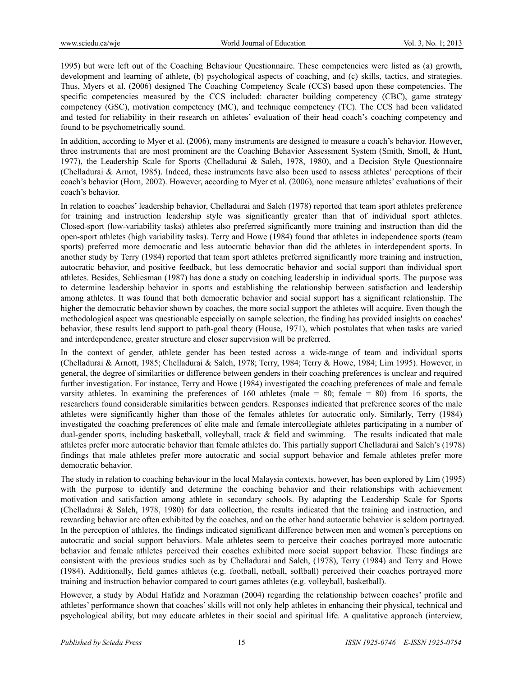1995) but were left out of the Coaching Behaviour Questionnaire. These competencies were listed as (a) growth, development and learning of athlete, (b) psychological aspects of coaching, and (c) skills, tactics, and strategies. Thus, Myers et al. (2006) designed The Coaching Competency Scale (CCS) based upon these competencies. The specific competencies measured by the CCS included: character building competency (CBC), game strategy competency (GSC), motivation competency (MC), and technique competency (TC). The CCS had been validated and tested for reliability in their research on athletes' evaluation of their head coach's coaching competency and found to be psychometrically sound.

In addition, according to Myer et al. (2006), many instruments are designed to measure a coach's behavior. However, three instruments that are most prominent are the Coaching Behavior Assessment System (Smith, Smoll, & Hunt, 1977), the Leadership Scale for Sports (Chelladurai & Saleh, 1978, 1980), and a Decision Style Questionnaire (Chelladurai & Arnot, 1985). Indeed, these instruments have also been used to assess athletes' perceptions of their coach's behavior (Horn, 2002). However, according to Myer et al. (2006), none measure athletes' evaluations of their coach's behavior.

In relation to coaches' leadership behavior, Chelladurai and Saleh (1978) reported that team sport athletes preference for training and instruction leadership style was significantly greater than that of individual sport athletes. Closed-sport (low-variability tasks) athletes also preferred significantly more training and instruction than did the open-sport athletes (high variability tasks). Terry and Howe (1984) found that athletes in independence sports (team sports) preferred more democratic and less autocratic behavior than did the athletes in interdependent sports. In another study by Terry (1984) reported that team sport athletes preferred significantly more training and instruction, autocratic behavior, and positive feedback, but less democratic behavior and social support than individual sport athletes. Besides, Schliesman (1987) has done a study on coaching leadership in individual sports. The purpose was to determine leadership behavior in sports and establishing the relationship between satisfaction and leadership among athletes. It was found that both democratic behavior and social support has a significant relationship. The higher the democratic behavior shown by coaches, the more social support the athletes will acquire. Even though the methodological aspect was questionable especially on sample selection, the finding has provided insights on coaches' behavior, these results lend support to path-goal theory (House, 1971), which postulates that when tasks are varied and interdependence, greater structure and closer supervision will be preferred.

In the context of gender, athlete gender has been tested across a wide-range of team and individual sports (Chelladurai & Arnott, 1985; Chelladurai & Saleh, 1978; Terry, 1984; Terry & Howe, 1984; Lim 1995). However, in general, the degree of similarities or difference between genders in their coaching preferences is unclear and required further investigation. For instance, Terry and Howe (1984) investigated the coaching preferences of male and female varsity athletes. In examining the preferences of 160 athletes (male = 80; female = 80) from 16 sports, the researchers found considerable similarities between genders. Responses indicated that preference scores of the male athletes were significantly higher than those of the females athletes for autocratic only. Similarly, Terry (1984) investigated the coaching preferences of elite male and female intercollegiate athletes participating in a number of dual-gender sports, including basketball, volleyball, track  $\&$  field and swimming. The results indicated that male athletes prefer more autocratic behavior than female athletes do. This partially support Chelladurai and Saleh's (1978) findings that male athletes prefer more autocratic and social support behavior and female athletes prefer more democratic behavior.

The study in relation to coaching behaviour in the local Malaysia contexts, however, has been explored by Lim (1995) with the purpose to identify and determine the coaching behavior and their relationships with achievement motivation and satisfaction among athlete in secondary schools. By adapting the Leadership Scale for Sports (Chelladurai & Saleh, 1978, 1980) for data collection, the results indicated that the training and instruction, and rewarding behavior are often exhibited by the coaches, and on the other hand autocratic behavior is seldom portrayed. In the perception of athletes, the findings indicated significant difference between men and women's perceptions on autocratic and social support behaviors. Male athletes seem to perceive their coaches portrayed more autocratic behavior and female athletes perceived their coaches exhibited more social support behavior. These findings are consistent with the previous studies such as by Chelladurai and Saleh, (1978), Terry (1984) and Terry and Howe (1984). Additionally, field games athletes (e.g. football, netball, softball) perceived their coaches portrayed more training and instruction behavior compared to court games athletes (e.g. volleyball, basketball).

However, a study by Abdul Hafidz and Norazman (2004) regarding the relationship between coaches' profile and athletes' performance shown that coaches' skills will not only help athletes in enhancing their physical, technical and psychological ability, but may educate athletes in their social and spiritual life. A qualitative approach (interview,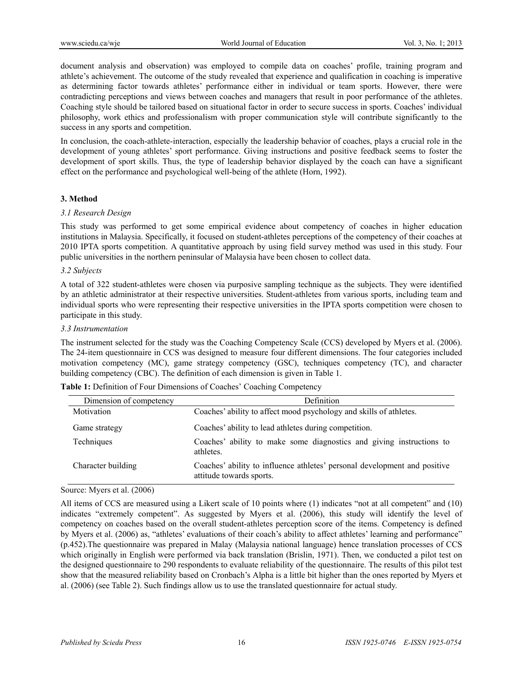document analysis and observation) was employed to compile data on coaches' profile, training program and athlete's achievement. The outcome of the study revealed that experience and qualification in coaching is imperative as determining factor towards athletes' performance either in individual or team sports. However, there were contradicting perceptions and views between coaches and managers that result in poor performance of the athletes. Coaching style should be tailored based on situational factor in order to secure success in sports. Coaches' individual philosophy, work ethics and professionalism with proper communication style will contribute significantly to the success in any sports and competition.

In conclusion, the coach-athlete-interaction, especially the leadership behavior of coaches, plays a crucial role in the development of young athletes' sport performance. Giving instructions and positive feedback seems to foster the development of sport skills. Thus, the type of leadership behavior displayed by the coach can have a significant effect on the performance and psychological well-being of the athlete (Horn, 1992).

## **3. Method**

### *3.1 Research Design*

This study was performed to get some empirical evidence about competency of coaches in higher education institutions in Malaysia. Specifically, it focused on student-athletes perceptions of the competency of their coaches at 2010 IPTA sports competition. A quantitative approach by using field survey method was used in this study. Four public universities in the northern peninsular of Malaysia have been chosen to collect data.

### *3.2 Subjects*

A total of 322 student-athletes were chosen via purposive sampling technique as the subjects. They were identified by an athletic administrator at their respective universities. Student-athletes from various sports, including team and individual sports who were representing their respective universities in the IPTA sports competition were chosen to participate in this study.

### *3.3 Instrumentation*

The instrument selected for the study was the Coaching Competency Scale (CCS) developed by Myers et al. (2006). The 24-item questionnaire in CCS was designed to measure four different dimensions. The four categories included motivation competency (MC), game strategy competency (GSC), techniques competency (TC), and character building competency (CBC). The definition of each dimension is given in Table 1.

| Dimension of competency | Definition                                                                                            |  |  |  |  |
|-------------------------|-------------------------------------------------------------------------------------------------------|--|--|--|--|
| Motivation              | Coaches' ability to affect mood psychology and skills of athletes.                                    |  |  |  |  |
| Game strategy           | Coaches' ability to lead athletes during competition.                                                 |  |  |  |  |
| Techniques              | Coaches' ability to make some diagnostics and giving instructions to<br>athletes.                     |  |  |  |  |
| Character building      | Coaches' ability to influence athletes' personal development and positive<br>attitude towards sports. |  |  |  |  |

**Table 1:** Definition of Four Dimensions of Coaches' Coaching Competency

#### Source: Myers et al. (2006)

All items of CCS are measured using a Likert scale of 10 points where (1) indicates "not at all competent" and (10) indicates "extremely competent". As suggested by Myers et al. (2006), this study will identify the level of competency on coaches based on the overall student-athletes perception score of the items. Competency is defined by Myers et al. (2006) as, "athletes' evaluations of their coach's ability to affect athletes' learning and performance" (p.452).The questionnaire was prepared in Malay (Malaysia national language) hence translation processes of CCS which originally in English were performed via back translation (Brislin, 1971). Then, we conducted a pilot test on the designed questionnaire to 290 respondents to evaluate reliability of the questionnaire. The results of this pilot test show that the measured reliability based on Cronbach's Alpha is a little bit higher than the ones reported by Myers et al. (2006) (see Table 2). Such findings allow us to use the translated questionnaire for actual study.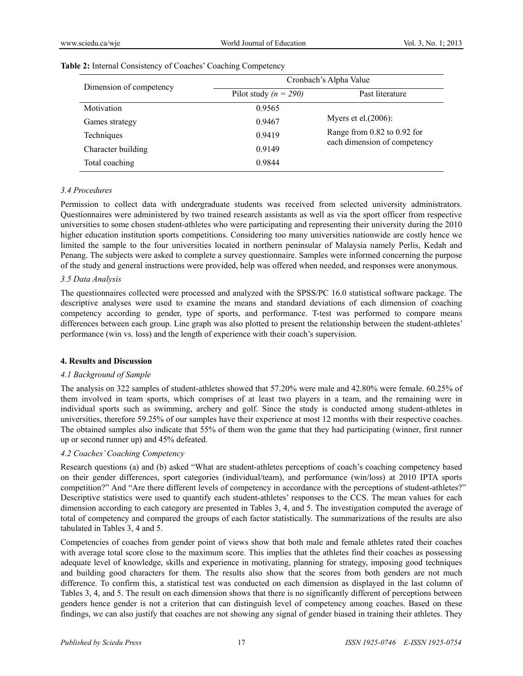| Dimension of competency | Cronbach's Alpha Value    |                                                                 |  |  |  |  |
|-------------------------|---------------------------|-----------------------------------------------------------------|--|--|--|--|
|                         | Pilot study ( $n = 290$ ) | Past literature                                                 |  |  |  |  |
| Motivation              | 0.9565                    |                                                                 |  |  |  |  |
| Games strategy          | 0.9467                    | Myers et el. $(2006)$ :                                         |  |  |  |  |
| Techniques              | 0.9419                    | Range from $0.82$ to $0.92$ for<br>each dimension of competency |  |  |  |  |
| Character building      | 0.9149                    |                                                                 |  |  |  |  |
| Total coaching          | 0.9844                    |                                                                 |  |  |  |  |

## **Table 2:** Internal Consistency of Coaches' Coaching Competency

#### *3.4 Procedures*

Permission to collect data with undergraduate students was received from selected university administrators. Questionnaires were administered by two trained research assistants as well as via the sport officer from respective universities to some chosen student-athletes who were participating and representing their university during the 2010 higher education institution sports competitions. Considering too many universities nationwide are costly hence we limited the sample to the four universities located in northern peninsular of Malaysia namely Perlis, Kedah and Penang. The subjects were asked to complete a survey questionnaire. Samples were informed concerning the purpose of the study and general instructions were provided, help was offered when needed, and responses were anonymous.

#### *3.5 Data Analysis*

The questionnaires collected were processed and analyzed with the SPSS/PC 16.0 statistical software package. The descriptive analyses were used to examine the means and standard deviations of each dimension of coaching competency according to gender, type of sports, and performance. T-test was performed to compare means differences between each group. Line graph was also plotted to present the relationship between the student-athletes' performance (win vs. loss) and the length of experience with their coach's supervision.

### **4. Results and Discussion**

#### *4.1 Background of Sample*

The analysis on 322 samples of student-athletes showed that 57.20% were male and 42.80% were female. 60.25% of them involved in team sports, which comprises of at least two players in a team, and the remaining were in individual sports such as swimming, archery and golf. Since the study is conducted among student-athletes in universities, therefore 59.25% of our samples have their experience at most 12 months with their respective coaches. The obtained samples also indicate that 55% of them won the game that they had participating (winner, first runner up or second runner up) and 45% defeated.

#### *4.2 Coaches' Coaching Competency*

Research questions (a) and (b) asked "What are student-athletes perceptions of coach's coaching competency based on their gender differences, sport categories (individual/team), and performance (win/loss) at 2010 IPTA sports competition?" And "Are there different levels of competency in accordance with the perceptions of student-athletes?" Descriptive statistics were used to quantify each student-athletes' responses to the CCS. The mean values for each dimension according to each category are presented in Tables 3, 4, and 5. The investigation computed the average of total of competency and compared the groups of each factor statistically. The summarizations of the results are also tabulated in Tables 3, 4 and 5.

Competencies of coaches from gender point of views show that both male and female athletes rated their coaches with average total score close to the maximum score. This implies that the athletes find their coaches as possessing adequate level of knowledge, skills and experience in motivating, planning for strategy, imposing good techniques and building good characters for them. The results also show that the scores from both genders are not much difference. To confirm this, a statistical test was conducted on each dimension as displayed in the last column of Tables 3, 4, and 5. The result on each dimension shows that there is no significantly different of perceptions between genders hence gender is not a criterion that can distinguish level of competency among coaches. Based on these findings, we can also justify that coaches are not showing any signal of gender biased in training their athletes. They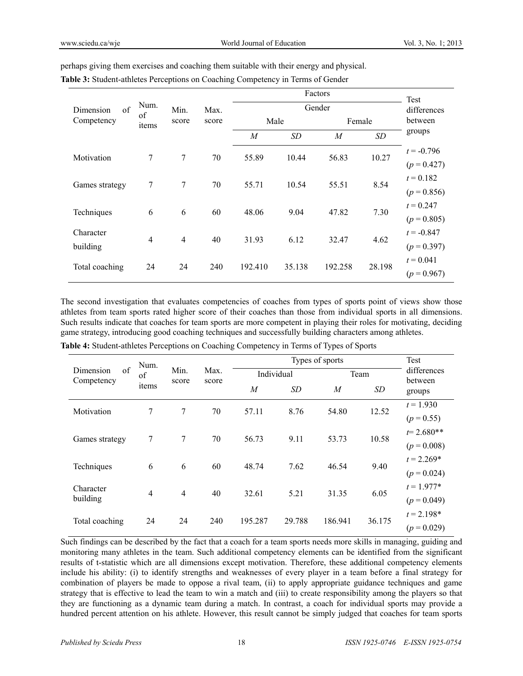| of<br>Dimension<br>Competency           | Num.<br>of<br>items | Min.<br>score  | Max.<br>score |                | Test<br>differences |         |        |               |
|-----------------------------------------|---------------------|----------------|---------------|----------------|---------------------|---------|--------|---------------|
|                                         |                     |                |               | Gender         |                     |         |        |               |
|                                         |                     |                |               |                | Male                |         | Female |               |
|                                         |                     |                |               | $\overline{M}$ | SD                  | M       | SD     | groups        |
| 7<br>Motivation                         |                     | 7              | 70            | 55.89          | 10.44               | 56.83   | 10.27  | $t = -0.796$  |
|                                         |                     |                |               |                |                     |         |        | $(p = 0.427)$ |
| Games strategy                          | 7                   | 7              | 70            | 55.71          | 10.54               | 55.51   | 8.54   | $t = 0.182$   |
|                                         |                     |                |               |                |                     |         |        | $(p = 0.856)$ |
| Techniques                              | 6                   | 6              | 60            | 48.06          | 9.04                | 47.82   | 7.30   | $t = 0.247$   |
|                                         |                     |                |               |                |                     |         |        | $(p = 0.805)$ |
| Character<br>$\overline{4}$<br>building |                     | $\overline{4}$ | 40            | 31.93          | 6.12                | 32.47   | 4.62   | $t = -0.847$  |
|                                         |                     |                |               |                |                     |         |        | $(p = 0.397)$ |
| Total coaching                          | 24                  | 24             | 240           | 192.410        | 35.138              | 192.258 | 28.198 | $t = 0.041$   |
|                                         |                     |                |               |                |                     |         |        | $(p = 0.967)$ |

perhaps giving them exercises and coaching them suitable with their energy and physical.

**Table 3:** Student-athletes Perceptions on Coaching Competency in Terms of Gender

The second investigation that evaluates competencies of coaches from types of sports point of views show those athletes from team sports rated higher score of their coaches than those from individual sports in all dimensions. Such results indicate that coaches for team sports are more competent in playing their roles for motivating, deciding game strategy, introducing good coaching techniques and successfully building characters among athletes.

| of<br>Dimension<br>Competency | Num.<br>of<br>items | Min.<br>score | Max.<br>score | Types of sports |        |                |        | Test                   |
|-------------------------------|---------------------|---------------|---------------|-----------------|--------|----------------|--------|------------------------|
|                               |                     |               |               | Individual      |        | Team           |        | differences<br>between |
|                               |                     |               |               | $\overline{M}$  | SD     | $\overline{M}$ | SD     | groups                 |
| 7<br>Motivation               |                     | 7             | 70            | 57.11           | 8.76   | 54.80          | 12.52  | $t = 1.930$            |
|                               |                     |               |               |                 |        |                |        | $(p = 0.55)$           |
| Games strategy                | 7                   | 7             | 70            | 56.73           | 9.11   | 53.73          | 10.58  | $t = 2.680**$          |
|                               |                     |               |               |                 |        |                |        | $(p = 0.008)$          |
|                               |                     | 6             | 60            | 48.74           | 7.62   | 46.54          | 9.40   | $t = 2.269*$           |
| Techniques                    | 6                   |               |               |                 |        |                |        | $(p = 0.024)$          |
| Character<br>building         | 4                   | 4             | 40            | 32.61           | 5.21   |                | 6.05   | $t = 1.977*$           |
|                               |                     |               |               |                 |        | 31.35          |        | $(p = 0.049)$          |
| Total coaching                | 24                  |               |               | 195.287         | 29.788 |                |        | $t = 2.198*$           |
|                               |                     | 24            | 240           |                 |        | 186.941        | 36.175 | $(p = 0.029)$          |

**Table 4:** Student-athletes Perceptions on Coaching Competency in Terms of Types of Sports

Such findings can be described by the fact that a coach for a team sports needs more skills in managing, guiding and monitoring many athletes in the team. Such additional competency elements can be identified from the significant results of t-statistic which are all dimensions except motivation. Therefore, these additional competency elements include his ability: (i) to identify strengths and weaknesses of every player in a team before a final strategy for combination of players be made to oppose a rival team, (ii) to apply appropriate guidance techniques and game strategy that is effective to lead the team to win a match and (iii) to create responsibility among the players so that they are functioning as a dynamic team during a match. In contrast, a coach for individual sports may provide a hundred percent attention on his athlete. However, this result cannot be simply judged that coaches for team sports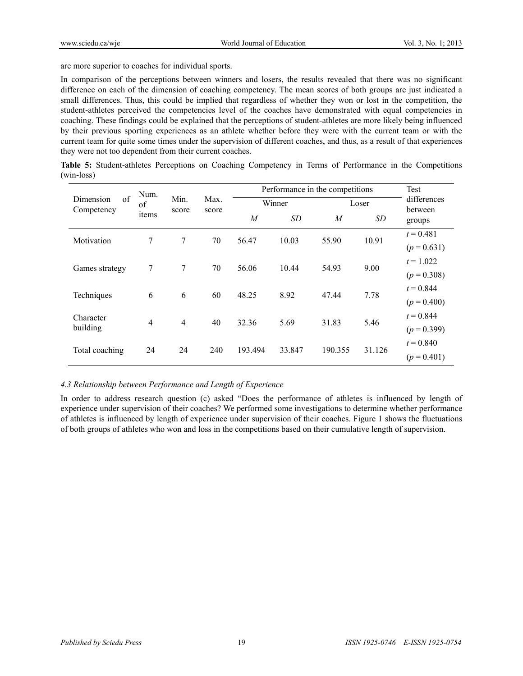are more superior to coaches for individual sports.

In comparison of the perceptions between winners and losers, the results revealed that there was no significant difference on each of the dimension of coaching competency. The mean scores of both groups are just indicated a small differences. Thus, this could be implied that regardless of whether they won or lost in the competition, the student-athletes perceived the competencies level of the coaches have demonstrated with equal competencies in coaching. These findings could be explained that the perceptions of student-athletes are more likely being influenced by their previous sporting experiences as an athlete whether before they were with the current team or with the current team for quite some times under the supervision of different coaches, and thus, as a result of that experiences they were not too dependent from their current coaches.

**Table 5:** Student-athletes Perceptions on Coaching Competency in Terms of Performance in the Competitions (win-loss)

| of<br>Dimension<br>Competency | Num.           | Min.<br>score | Max.<br>score | Performance in the competitions |        |         |           | Test                   |
|-------------------------------|----------------|---------------|---------------|---------------------------------|--------|---------|-----------|------------------------|
|                               | of<br>items    |               |               | Winner                          |        | Loser   |           | differences<br>between |
|                               |                |               |               | $\overline{M}$                  | SD     | M       | <i>SD</i> | groups                 |
| 7<br>Motivation               |                | 7             | 70            | 56.47                           | 10.03  | 55.90   | 10.91     | $t = 0.481$            |
|                               |                |               |               |                                 |        |         |           | $(p = 0.631)$          |
| Games strategy                | 7              | 7             | 70            | 56.06                           | 10.44  | 54.93   | 9.00      | $t = 1.022$            |
|                               |                |               |               |                                 |        |         |           | $(p = 0.308)$          |
|                               |                |               |               |                                 |        | 47.44   |           | $t = 0.844$            |
| Techniques                    | 6              | 6             | 60            | 48.25                           | 8.92   |         | 7.78      | $(p = 0.400)$          |
| Character<br>building         | $\overline{4}$ | 4             | 40            | 32.36                           | 5.69   | 31.83   | 5.46      | $t = 0.844$            |
|                               |                |               |               |                                 |        |         |           | $(p = 0.399)$          |
| Total coaching                | 24             | 24            | 240           | 193.494                         | 33.847 | 190.355 | 31.126    | $t = 0.840$            |
|                               |                |               |               |                                 |        |         |           | $(p = 0.401)$          |

## *4.3 Relationship between Performance and Length of Experience*

In order to address research question (c) asked "Does the performance of athletes is influenced by length of experience under supervision of their coaches? We performed some investigations to determine whether performance of athletes is influenced by length of experience under supervision of their coaches. Figure 1 shows the fluctuations of both groups of athletes who won and loss in the competitions based on their cumulative length of supervision.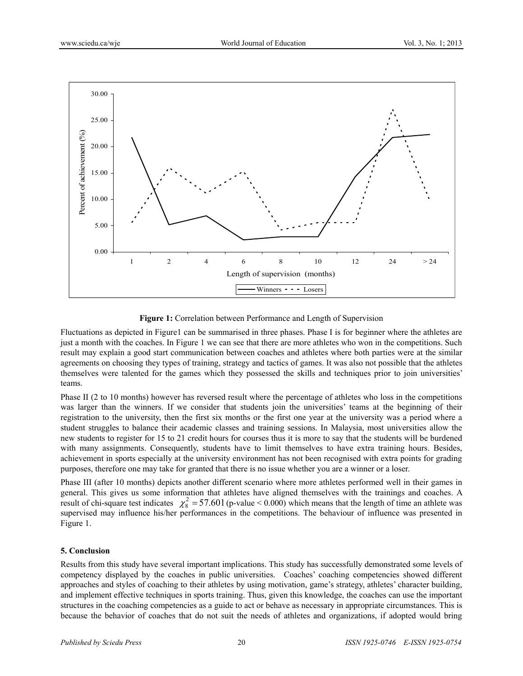

**Figure 1:** Correlation between Performance and Length of Supervision

Fluctuations as depicted in Figure1 can be summarised in three phases. Phase I is for beginner where the athletes are just a month with the coaches. In Figure 1 we can see that there are more athletes who won in the competitions. Such result may explain a good start communication between coaches and athletes where both parties were at the similar agreements on choosing they types of training, strategy and tactics of games. It was also not possible that the athletes themselves were talented for the games which they possessed the skills and techniques prior to join universities' teams.

Phase II (2 to 10 months) however has reversed result where the percentage of athletes who loss in the competitions was larger than the winners. If we consider that students join the universities' teams at the beginning of their registration to the university, then the first six months or the first one year at the university was a period where a student struggles to balance their academic classes and training sessions. In Malaysia, most universities allow the new students to register for 15 to 21 credit hours for courses thus it is more to say that the students will be burdened with many assignments. Consequently, students have to limit themselves to have extra training hours. Besides, achievement in sports especially at the university environment has not been recognised with extra points for grading purposes, therefore one may take for granted that there is no issue whether you are a winner or a loser.

Phase III (after 10 months) depicts another different scenario where more athletes performed well in their games in general. This gives us some information that athletes have aligned themselves with the trainings and coaches. A result of chi-square test indicates  $\chi^2 = 57.601$  (p-value < 0.000) which means that the length of time an athlete was supervised may influence his/her performances in the competitions. The behaviour of influence was presented in Figure 1.

## **5. Conclusion**

Results from this study have several important implications. This study has successfully demonstrated some levels of competency displayed by the coaches in public universities. Coaches' coaching competencies showed different approaches and styles of coaching to their athletes by using motivation, game's strategy, athletes' character building, and implement effective techniques in sports training. Thus, given this knowledge, the coaches can use the important structures in the coaching competencies as a guide to act or behave as necessary in appropriate circumstances. This is because the behavior of coaches that do not suit the needs of athletes and organizations, if adopted would bring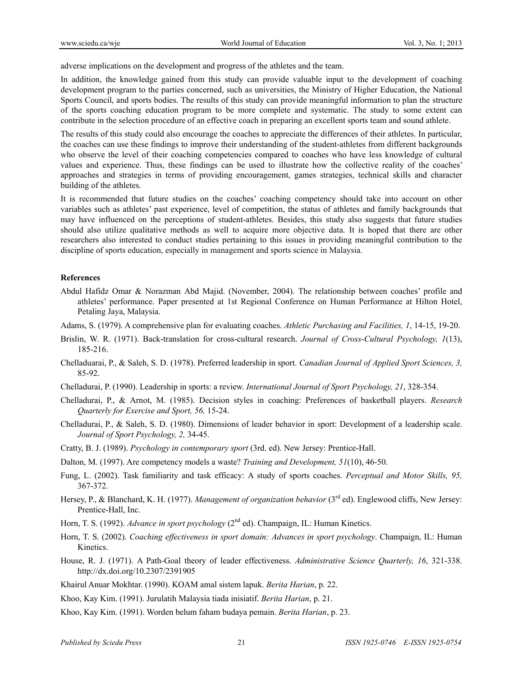adverse implications on the development and progress of the athletes and the team.

In addition, the knowledge gained from this study can provide valuable input to the development of coaching development program to the parties concerned, such as universities, the Ministry of Higher Education, the National Sports Council, and sports bodies. The results of this study can provide meaningful information to plan the structure of the sports coaching education program to be more complete and systematic. The study to some extent can contribute in the selection procedure of an effective coach in preparing an excellent sports team and sound athlete.

The results of this study could also encourage the coaches to appreciate the differences of their athletes. In particular, the coaches can use these findings to improve their understanding of the student-athletes from different backgrounds who observe the level of their coaching competencies compared to coaches who have less knowledge of cultural values and experience. Thus, these findings can be used to illustrate how the collective reality of the coaches' approaches and strategies in terms of providing encouragement, games strategies, technical skills and character building of the athletes.

It is recommended that future studies on the coaches' coaching competency should take into account on other variables such as athletes' past experience, level of competition, the status of athletes and family backgrounds that may have influenced on the perceptions of student-athletes. Besides, this study also suggests that future studies should also utilize qualitative methods as well to acquire more objective data. It is hoped that there are other researchers also interested to conduct studies pertaining to this issues in providing meaningful contribution to the discipline of sports education, especially in management and sports science in Malaysia.

## **References**

- Abdul Hafidz Omar & Norazman Abd Majid. (November, 2004). The relationship between coaches' profile and athletes' performance. Paper presented at 1st Regional Conference on Human Performance at Hilton Hotel, Petaling Jaya, Malaysia.
- Adams, S. (1979). A comprehensive plan for evaluating coaches. *Athletic Purchasing and Facilities, 1*, 14-15, 19-20.
- Brislin, W. R. (1971). Back-translation for cross-cultural research. *Journal of Cross-Cultural Psychology, 1*(13), 185-216.
- Chelladuarai, P., & Saleh, S. D. (1978). Preferred leadership in sport. *Canadian Journal of Applied Sport Sciences, 3,* 85-92.
- Chelladurai, P. (1990). Leadership in sports: a review. *International Journal of Sport Psychology, 21*, 328-354.
- Chelladurai, P., & Arnot, M. (1985). Decision styles in coaching: Preferences of basketball players. *Research Quarterly for Exercise and Sport, 56,* 15-24.
- Chelladurai, P., & Saleh, S. D. (1980). Dimensions of leader behavior in sport: Development of a leadership scale. *Journal of Sport Psychology, 2,* 34-45.
- Cratty, B. J. (1989). *Psychology in contemporary sport* (3rd. ed). New Jersey: Prentice-Hall.
- Dalton, M. (1997). Are competency models a waste? *Training and Development, 51*(10), 46-50.
- Fung, L. (2002). Task familiarity and task efficacy: A study of sports coaches. *Perceptual and Motor Skills, 95,* 367-372.
- Hersey, P., & Blanchard, K. H. (1977). *Management of organization behavior* (3<sup>rd</sup> ed). Englewood cliffs, New Jersey: Prentice-Hall, Inc.
- Horn, T. S. (1992). *Advance in sport psychology* (2<sup>nd</sup> ed). Champaign, IL: Human Kinetics.
- Horn, T. S. (2002). *Coaching effectiveness in sport domain: Advances in sport psychology*. Champaign, IL: Human Kinetics.
- House, R. J. (1971). A Path-Goal theory of leader effectiveness. *Administrative Science Quarterly, 16*, 321-338. http://dx.doi.org/10.2307/2391905
- Khairul Anuar Mokhtar. (1990). KOAM amal sistem lapuk. *Berita Harian*, p. 22.
- Khoo, Kay Kim. (1991). Jurulatih Malaysia tiada inisiatif. *Berita Harian*, p. 21.
- Khoo, Kay Kim. (1991). Worden belum faham budaya pemain. *Berita Harian*, p. 23.